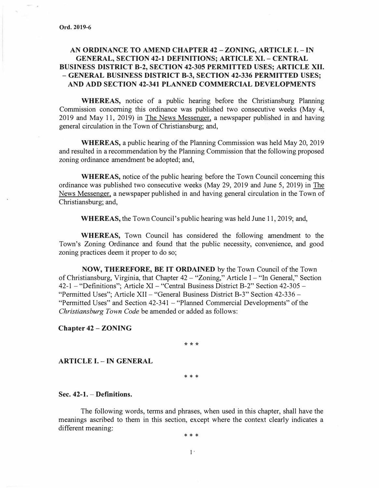## **AN ORDINANCE TO AMEND CHAPTER 42** - **ZONING, ARTICLE** I. - IN **GENERAL, SECTION 42-1 DEFINITIONS; ARTICLE XI. - CENTRAL BUSINESS DISTRICT 8-2, SECTION 42-305 PERMITTED USES; ARTICLE XII.**  - **GENERAL BUSINESS DISTRICT 8-3, SECTION 42-336 PERMITTED USES; AND ADD SECTION 42-341 PLANNED COMMERCIAL DEVELOPMENTS**

**WHEREAS,** notice of a public hearing before the Christiansburg Planning Commission concerning this ordinance was published two consecutive weeks (May 4, 2019 and May 11, 2019) in The News Messenger, a newspaper published in and having general circulation in the Town of Christiansburg; and,

**WHEREAS,** a public hearing of the Planning Commission was held May 20, 2019 and resulted in a recommendation by the Planning Commission that the following proposed zoning ordinance amendment be adopted; and,

**WHEREAS,** notice of the public hearing before the Town Council concerning this ordinance was published two consecutive weeks (May 29, 2019 and June 5, 2019) in The News Messenger, a newspaper published in and having general circulation in the Town of Christiansburg; and,

**WHEREAS,** the Town Council's public hearing was held June 11, 2019; and,

**WHEREAS,** Town Council has considered the following amendment to the Town's Zoning Ordinance and found that the public necessity, convenience, and good zoning practices deem it proper to do so;

**NOW, THEREFORE, BE IT ORDAINED** by the Town Council of the Town of Christiansburg, Virginia, that Chapter 42 - "Zoning," Article I - "In General," Section 42-1 - "Definitions"; Article XI - "Central Business District B-2" Section 42-305 - "Permitted Uses"; Article XII - "General Business District B-3" Section 42-336 -"Permitted Uses" and Section 42-341 - "Planned Commercial Developments" of the *Christiansburg Town Code* be amended or added as follows:

**Chapter 42** - **ZONING** 

\*\*\*

**ARTICLE I. -IN GENERAL** 

\* \* \*

### **Sec. 42-1.** - **Definitions.**

The following words, terms and phrases, when used in this chapter, shall have the meanings ascribed to them in this section, except where the context clearly indicates a different meaning:

\* \* \*

 $1$ .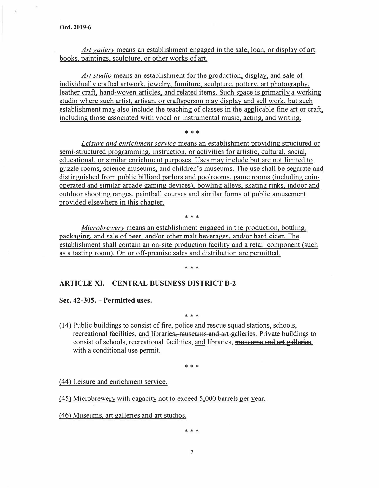*Art gallery* means an establishment engaged in the sale, loan, or display of art books, paintings, sculpture, or other works of art.

*Art studio* means an establishment for the production, display, and sale of individually crafted artwork, jewelry, furniture, sculpture, pottery, art photography, leather craft, hand-woven articles, and related items. Such space is primarily a working studio where such artist, artisan, or craftsperson may display and sell work, but such establishment may also include the teaching of classes in the applicable fine art or craft, including those associated with vocal or instrumental music, acting, and writing.

\* \* \*

*Leisure and enrichment service* means an establishment providing structured or semi-structured programming, instruction, or activities for artistic, cultural, social, educational, or similar enrichment purposes. Uses may include but are not limited to puzzle rooms, science museums, and children's museums. The use shall be separate and distinguished from public billiard parlors and poolrooms, game rooms {including coinoperated and similar arcade gaming devices), bowling alleys, skating rinks, indoor and outdoor shooting ranges, paintball courses and similar forms of public amusement provided elsewhere in this chapter.

\* \* \*

*Microbrewery* means an establishment engaged in the production, bottling, packaging, and sale of beer, and/or other malt beverages, and/or hard cider. The establishment shall contain an on-site production facility and a retail component {such as a tasting room). On or off-premise sales and distribution are permitted.

\* \* \*

## **ARTICLE XI. - CENTRAL BUSINESS DISTRICT B-2**

**Sec. 42-305. - Permitted uses.** 

#### \* \* \*

( 14) Public buildings to consist of fire, police and rescue squad stations, schools, recreational facilities, and libraries, museums and art galleries. Private buildings to consist of schools, recreational facilities, and libraries, museums and art galleries, with a conditional use permit.

\* \* \*

{44) Leisure and enrichment service.

{45) Microbrewery with capacity not to exceed 5,000 barrels per year.

{46) Museums, art galleries and art studios.

\* \* \*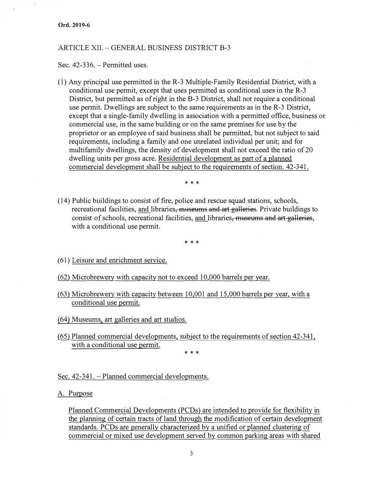### ARTICLE XII. - GENERAL BUSINESS DISTRICT B-3

Sec. 42-336. - Permitted uses.

(1) Any principal use permitted in the R-3 Multiple-Family Residential District, with a conditional use permit, except that uses permitted as conditional uses in the R-3 District, but permitted as of right in the B-3 District, shall not require a conditional use permit. Dwellings are subject to the same requirements as in the R-3 District, except that a single-family dwelling in association with a permitted office, business or commercial use, in the same building or on the same premises for use by the proprietor or an employee of said business shall be permitted, but not subject to said requirements, including a family and one unrelated individual per unit; and for multifamily dwellings, the density of development shall not exceed the ratio of 20 dwelling units per gross acre. Residential development as part of a planned commercial development shall be subject to the requirements of section. 42-341.

\* \* \*

( 14) Public buildings to consist of fire, police and rescue squad stations, schools, recreational facilities, and libraries, museums and art galleries. Private buildings to consist of schools, recreational facilities, and libraries, museums and art galleries, with a conditional use permit.

\* \* \*

- (61) Leisure and enrichment service.
- (62) Microbrewery with capacity not to exceed 10,000 barrels per year.
- (63) Microbrewery with capacity between 10,001 and 15,000 barrels per year. with a conditional use permit.
- (64) Museums, art galleries and art studios.
- *(* 65) Planned commercial developments, subject to the requirements of section 42-341, with a conditional use permit.

\* \* \*

Sec. 42-341. - Planned commercial developments.

A. Purpose

Planned Commercial Developments (PCDs) are intended to provide for flexibility in the planning of certain tracts of land through the modification of certain development standards. PCDs are generally characterized by a unified or planned clustering of commercial or mixed use development served by common parking areas with shared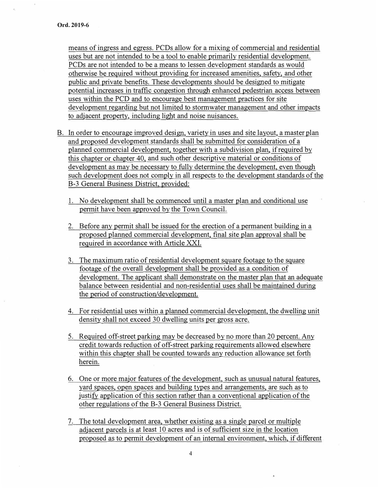means of ingress and egress. PCDs allow for a mixing of commercial and residential uses but are not intended to be a tool to enable primarily residential development. PCDs are not intended to be a means to lessen development standards as would otherwise be required without providing for increased amenities, safety, and other public and private benefits. These developments should be designed to mitigate potential increases in traffic congestion through enhanced pedestrian access between uses within the PCD and to encourage best management practices for site development regarding but not limited to stormwater management and other impacts to adjacent property, including light and noise nuisances.

- B. In order to encourage improved design, variety in uses and site layout, a master plan and proposed development standards shall be submitted for consideration of a planned commercial development, together with a subdivision plan, if required by this chapter or chapter 40, and such other descriptive material or conditions of development as may be necessary to fully determine the development, even though such development does not comply in all respects to the development standards of the B-3 General Business District, provided:
	- 1. No development shall be commenced until a master plan and conditional use pennit have been approved by the Town Council.
	- 2. Before any permit shall be issued for the erection of a permanent building in a proposed planned commercial development, final site plan approval shall be required in accordance with Article XXL
	- 3. The maximum ratio of residential development square footage to the square footage of the overall development shall be provided as a condition of development. The applicant shall demonstrate on the master plan that an adequate balance between residential and non-residential uses shall be maintained during the period of construction/development.
	- 4. For residential uses within a planned commercial development, the dwelling unit density shall not exceed 30 dwelling units per gross acre.
	- 5. Required off-street parking may be decreased by no more than 20 percent. Any credit towards reduction of off-street parking requirements allowed elsewhere within this chapter shall be counted towards any reduction allowance set forth herein.
	- 6. One or more major features of the development, such as unusual natural features, yard spaces, open spaces and building types and arrangements, are such as to justify application of this section rather than a conventional application of the other regulations of the B-3 General Business District.
	- 7. The total development area, whether existing as a single parcel or multiple adjacent parcels is at least 10 acres and is of sufficient size in the location proposed as to permit development of an internal environment, which, if different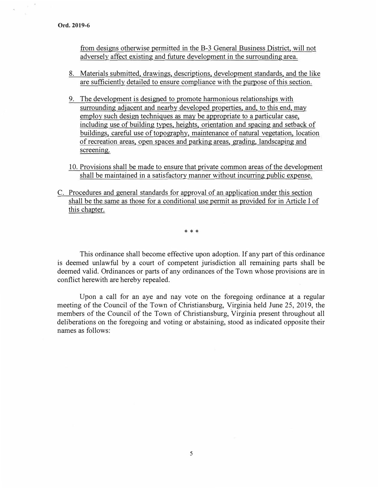from designs otherwise permitted in the B-3 General Business District, will not adversely affect existing and future development in the surrounding area.

- 8. Materials submitted, drawings, descriptions, development standards, and the like are sufficiently detailed to ensure compliance with the purpose of this section.
- 9. The development is designed to promote harmonious relationships with surrounding adjacent and nearby developed properties, and, to this end, may employ such design techniques as may be appropriate to a particular case, including use of building types, heights, orientation and spacing and setback of buildings, careful use of topography, maintenance of natural vegetation, location of recreation areas, open spaces and parking areas, grading, landscaping and screening.
- 10. Provisions shall be made to ensure that private common areas of the development shall be maintained in a satisfactory manner without incurring public expense.
- C. Procedures and general standards for approval of an application under this section shall be the same as those for a conditional use permit as provided for in Article I of this chapter.

\* \* \*

This ordinance shall become effective upon adoption. If any part of this ordinance is deemed unlawful by a court of competent jurisdiction all remaining parts shall be deemed valid. Ordinances or parts of any ordinances of the Town whose provisions are in conflict herewith are hereby repealed.

Upon a call for an aye and nay vote on the foregoing ordinance at a regular meeting of the Council of the Town of Christiansburg, Virginia held June 25, 2019, the members of the Council of the Town of Christiansburg, Virginia present throughout all deliberations on the foregoing and voting or abstaining, stood as indicated opposite their names as follows: